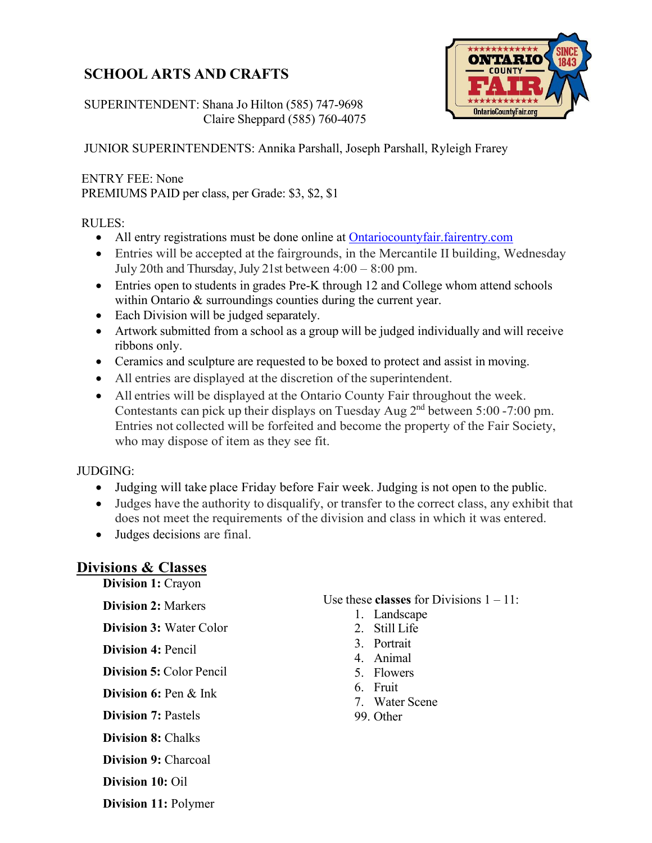# **SCHOOL ARTS AND CRAFTS**

**ONTARIO OntarioCountyFair.org** 

### SUPERINTENDENT: Shana Jo Hilton (585) 747-9698 Claire Sheppard (585) 760-4075

JUNIOR SUPERINTENDENTS: Annika Parshall, Joseph Parshall, Ryleigh Frarey

### ENTRY FEE: None

PREMIUMS PAID per class, per Grade: \$3, \$2, \$1

### RULES:

- All entry registrations must be done online at [Ontariocountyfair.fairentry.com](https://ontariocountyfair.fairentry.com/Fair/SignIn/16867)
- Entries will be accepted at the fairgrounds, in the Mercantile II building, Wednesday July 20th and Thursday, July 21st between 4:00 – 8:00 pm.
- Entries open to students in grades Pre-K through 12 and College whom attend schools within Ontario & surroundings counties during the current year.
- Each Division will be judged separately.
- Artwork submitted from a school as a group will be judged individually and will receive ribbons only.
- Ceramics and sculpture are requested to be boxed to protect and assist in moving.
- All entries are displayed at the discretion of the superintendent.
- All entries will be displayed at the Ontario County Fair throughout the week. Contestants can pick up their displays on Tuesday Aug 2nd between 5:00 -7:00 pm. Entries not collected will be forfeited and become the property of the Fair Society, who may dispose of item as they see fit.

### JUDGING:

- Judging will take place Friday before Fair week. Judging is not open to the public.
- Judges have the authority to disqualify, or transfer to the correct class, any exhibit that does not meet the requirements of the division and class in which it was entered.
- Judges decisions are final.

# **Divisions & Classes**

**Division 1:** Crayon

#### **Division 2:** Markers

**Division 3:** Water Color

**Division 4:** Pencil

**Division 5:** Color Pencil

**Division 6:** Pen & Ink

**Division 7:** Pastels

**Division 8:** Chalks

**Division 9:** Charcoal

**Division 10:** Oil

**Division 11:** Polymer

### Use these **classes** for Divisions 1 – 11:

- 1. Landscape
- 2. Still Life
- 3. Portrait
- 4. Animal
- 5. Flowers
- 6. Fruit
- 7. Water Scene
- 99. Other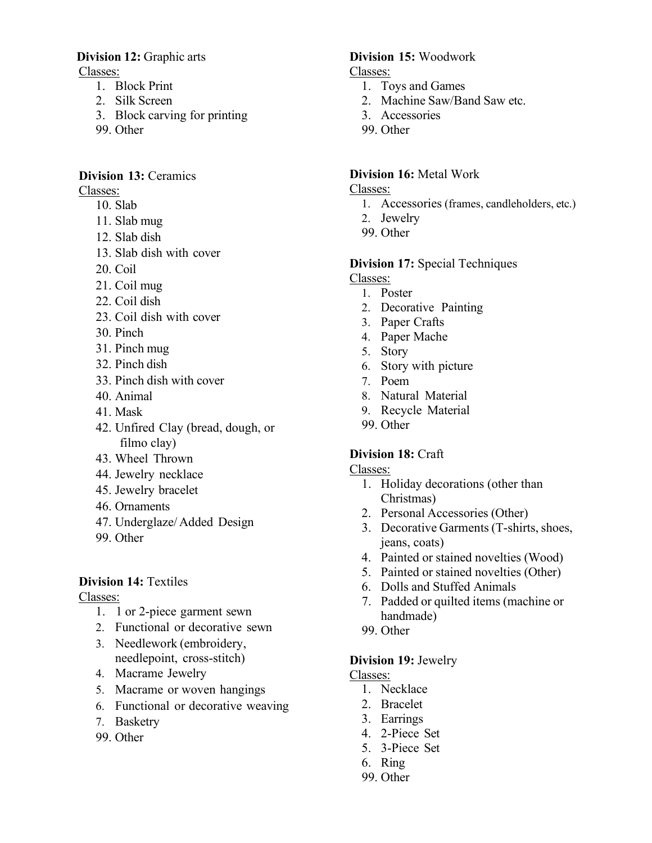#### **Division 12:** Graphic arts

Classes:

- 1. Block Print
- 2. Silk Screen
- 3. Block carving for printing
- 99. Other

### **Division 13:** Ceramics

Classes:

- 10. Slab
- 11. Slab mug
- 12. Slab dish
- 13. Slab dish with cover
- 20. Coil
- 21. Coil mug
- 22. Coil dish
- 23. Coil dish with cover
- 30. Pinch
- 31. Pinch mug
- 32. Pinch dish
- 33. Pinch dish with cover
- 40. Animal
- 41. Mask
- 42. Unfired Clay (bread, dough, or filmo clay)
- 43. Wheel Thrown
- 44. Jewelry necklace
- 45. Jewelry bracelet
- 46. Ornaments
- 47. Underglaze/ Added Design
- 99. Other

# **Division 14:** Textiles

### Classes:

- 1. 1 or 2-piece garment sewn
- 2. Functional or decorative sewn
- 3. Needlework (embroidery, needlepoint, cross-stitch)
- 4. Macrame Jewelry
- 5. Macrame or woven hangings
- 6. Functional or decorative weaving
- 7. Basketry
- 99. Other

### **Division 15:** Woodwork

- Classes:
	- 1. Toys and Games
	- 2. Machine Saw/Band Saw etc.
	- 3. Accessories
	- 99. Other

## **Division 16:** Metal Work

Classes:

- 1. Accessories (frames, candleholders, etc.)
- 2. Jewelry
- 99. Other

### **Division 17:** Special Techniques

- Classes:
	- 1. Poster
	- 2. Decorative Painting
	- 3. Paper Crafts
	- 4. Paper Mache
	- 5. Story
	- 6. Story with picture
	- 7. Poem
	- 8. Natural Material
	- 9. Recycle Material
	- 99. Other

# **Division 18:** Craft

Classes:

- 1. Holiday decorations (other than Christmas)
- 2. Personal Accessories (Other)
- 3. Decorative Garments (T-shirts, shoes, jeans, coats)
- 4. Painted or stained novelties (Wood)
- 5. Painted or stained novelties (Other)
- 6. Dolls and Stuffed Animals
- 7. Padded or quilted items (machine or handmade)
- 99. Other

### **Division 19:** Jewelry

Classes:

- 1. Necklace
- 2. Bracelet
- 3. Earrings
- 4. 2-Piece Set
- 5. 3-Piece Set
- 6. Ring
- 99. Other